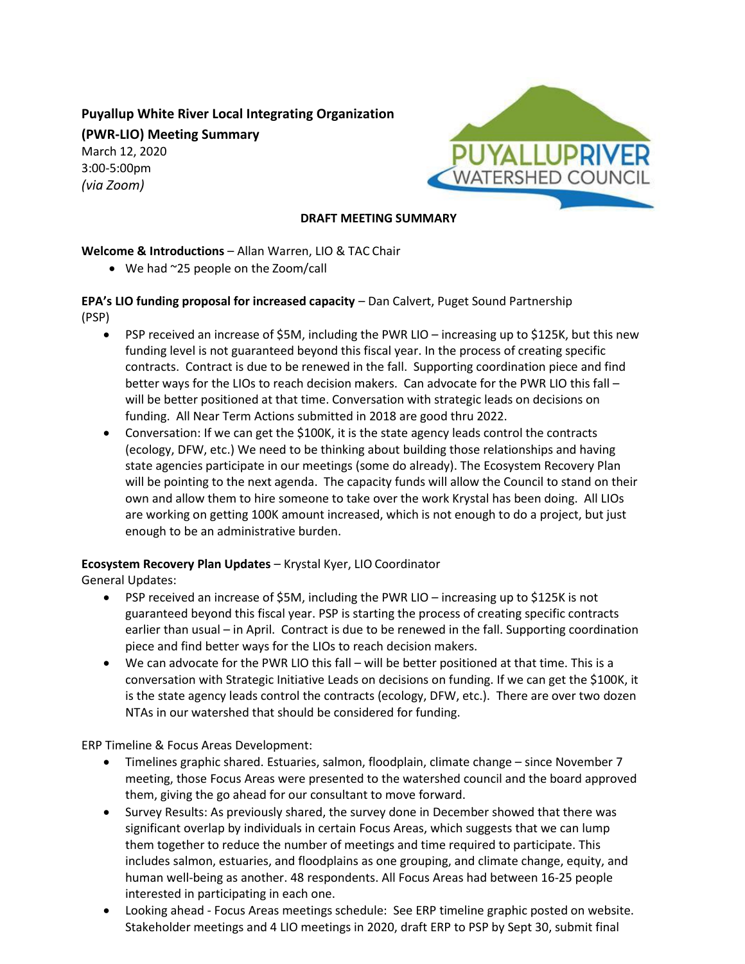# **Puyallup White River Local Integrating Organization**

**(PWR-LIO) Meeting Summary**

March 12, 2020 3:00-5:00pm *(via Zoom)*



### **DRAFT MEETING SUMMARY**

# **Welcome & Introductions** – Allan Warren, LIO & TAC Chair

• We had ~25 people on the Zoom/call

**EPA's LIO funding proposal for increased capacity** – Dan Calvert, Puget Sound Partnership (PSP)

- PSP received an increase of \$5M, including the PWR LIO increasing up to \$125K, but this new funding level is not guaranteed beyond this fiscal year. In the process of creating specific contracts. Contract is due to be renewed in the fall. Supporting coordination piece and find better ways for the LIOs to reach decision makers. Can advocate for the PWR LIO this fall will be better positioned at that time. Conversation with strategic leads on decisions on funding. All Near Term Actions submitted in 2018 are good thru 2022.
- Conversation: If we can get the \$100K, it is the state agency leads control the contracts (ecology, DFW, etc.) We need to be thinking about building those relationships and having state agencies participate in our meetings (some do already). The Ecosystem Recovery Plan will be pointing to the next agenda. The capacity funds will allow the Council to stand on their own and allow them to hire someone to take over the work Krystal has been doing. All LIOs are working on getting 100K amount increased, which is not enough to do a project, but just enough to be an administrative burden.

# **Ecosystem Recovery Plan Updates** – Krystal Kyer, LIO Coordinator

General Updates:

- PSP received an increase of \$5M, including the PWR LIO increasing up to \$125K is not guaranteed beyond this fiscal year. PSP is starting the process of creating specific contracts earlier than usual – in April. Contract is due to be renewed in the fall. Supporting coordination piece and find better ways for the LIOs to reach decision makers.
- We can advocate for the PWR LIO this fall will be better positioned at that time. This is a conversation with Strategic Initiative Leads on decisions on funding. If we can get the \$100K, it is the state agency leads control the contracts (ecology, DFW, etc.). There are over two dozen NTAs in our watershed that should be considered for funding.

ERP Timeline & Focus Areas Development:

- Timelines graphic shared. Estuaries, salmon, floodplain, climate change since November 7 meeting, those Focus Areas were presented to the watershed council and the board approved them, giving the go ahead for our consultant to move forward.
- Survey Results: As previously shared, the survey done in December showed that there was significant overlap by individuals in certain Focus Areas, which suggests that we can lump them together to reduce the number of meetings and time required to participate. This includes salmon, estuaries, and floodplains as one grouping, and climate change, equity, and human well-being as another. 48 respondents. All Focus Areas had between 16-25 people interested in participating in each one.
- Looking ahead Focus Areas meetings schedule: See ERP timeline graphic posted on website. Stakeholder meetings and 4 LIO meetings in 2020, draft ERP to PSP by Sept 30, submit final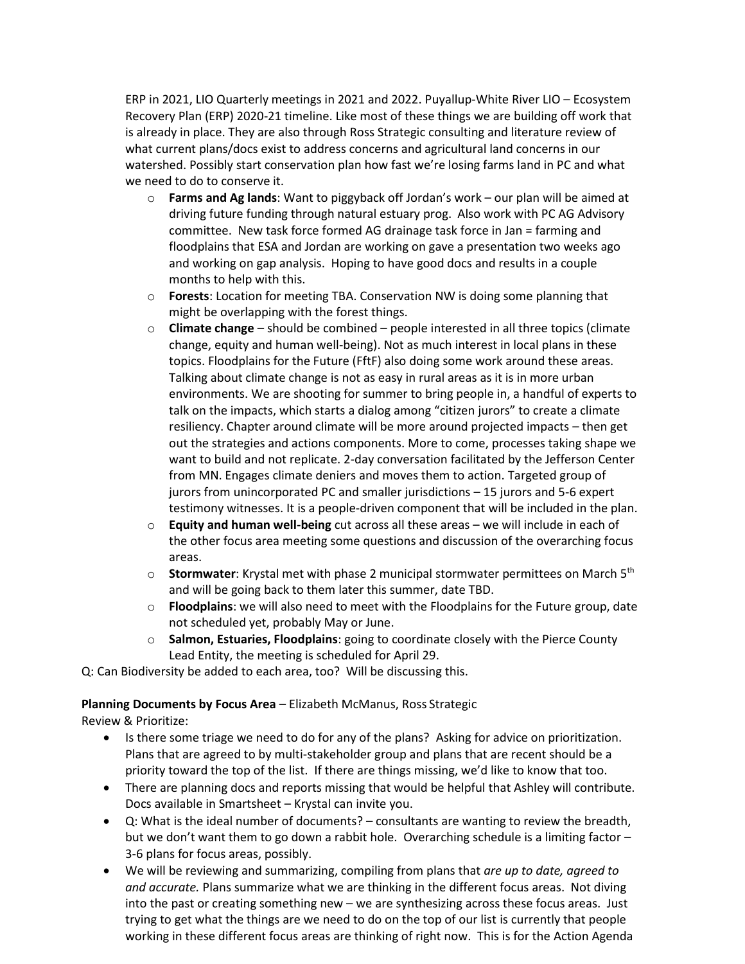ERP in 2021, LIO Quarterly meetings in 2021 and 2022. Puyallup-White River LIO – Ecosystem Recovery Plan (ERP) 2020-21 timeline. Like most of these things we are building off work that is already in place. They are also through Ross Strategic consulting and literature review of what current plans/docs exist to address concerns and agricultural land concerns in our watershed. Possibly start conservation plan how fast we're losing farms land in PC and what we need to do to conserve it.

- o **Farms and Ag lands**: Want to piggyback off Jordan's work our plan will be aimed at driving future funding through natural estuary prog. Also work with PC AG Advisory committee. New task force formed AG drainage task force in Jan = farming and floodplains that ESA and Jordan are working on gave a presentation two weeks ago and working on gap analysis. Hoping to have good docs and results in a couple months to help with this.
- o **Forests**: Location for meeting TBA. Conservation NW is doing some planning that might be overlapping with the forest things.
- o **Climate change** should be combined people interested in all three topics (climate change, equity and human well-being). Not as much interest in local plans in these topics. Floodplains for the Future (FftF) also doing some work around these areas. Talking about climate change is not as easy in rural areas as it is in more urban environments. We are shooting for summer to bring people in, a handful of experts to talk on the impacts, which starts a dialog among "citizen jurors" to create a climate resiliency. Chapter around climate will be more around projected impacts – then get out the strategies and actions components. More to come, processes taking shape we want to build and not replicate. 2-day conversation facilitated by the Jefferson Center from MN. Engages climate deniers and moves them to action. Targeted group of jurors from unincorporated PC and smaller jurisdictions – 15 jurors and 5-6 expert testimony witnesses. It is a people-driven component that will be included in the plan.
- o **Equity and human well-being** cut across all these areas we will include in each of the other focus area meeting some questions and discussion of the overarching focus areas.
- o **Stormwater**: Krystal met with phase 2 municipal stormwater permittees on March 5<sup>th</sup> and will be going back to them later this summer, date TBD.
- o **Floodplains**: we will also need to meet with the Floodplains for the Future group, date not scheduled yet, probably May or June.
- o **Salmon, Estuaries, Floodplains**: going to coordinate closely with the Pierce County Lead Entity, the meeting is scheduled for April 29.

Q: Can Biodiversity be added to each area, too? Will be discussing this.

#### **Planning Documents by Focus Area** – Elizabeth McManus, Ross Strategic

Review & Prioritize:

- Is there some triage we need to do for any of the plans? Asking for advice on prioritization. Plans that are agreed to by multi-stakeholder group and plans that are recent should be a priority toward the top of the list. If there are things missing, we'd like to know that too.
- There are planning docs and reports missing that would be helpful that Ashley will contribute. Docs available in Smartsheet – Krystal can invite you.
- Q: What is the ideal number of documents? consultants are wanting to review the breadth, but we don't want them to go down a rabbit hole. Overarching schedule is a limiting factor -3-6 plans for focus areas, possibly.
- We will be reviewing and summarizing, compiling from plans that *are up to date, agreed to and accurate.* Plans summarize what we are thinking in the different focus areas. Not diving into the past or creating something new – we are synthesizing across these focus areas. Just trying to get what the things are we need to do on the top of our list is currently that people working in these different focus areas are thinking of right now. This is for the Action Agenda